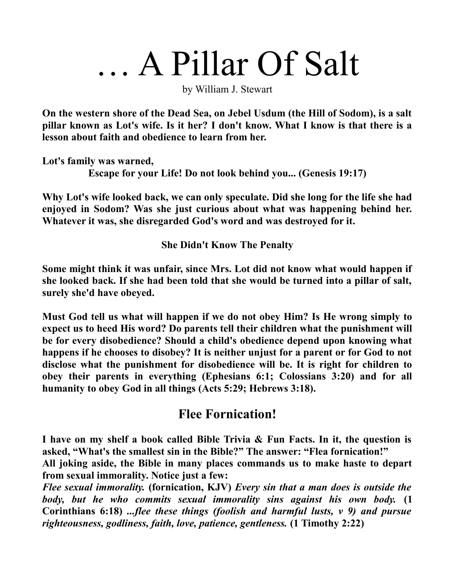## … A Pillar Of Salt

by William J. Stewart

**On the western shore of the Dead Sea, on Jebel Usdum (the Hill of Sodom), is a salt pillar known as Lot's wife. Is it her? I don't know. What I know is that there is a lesson about faith and obedience to learn from her.**

**Lot's family was warned, Escape for your Life! Do not look behind you... (Genesis 19:17)**

**Why Lot's wife looked back, we can only speculate. Did she long for the life she had enjoyed in Sodom? Was she just curious about what was happening behind her. Whatever it was, she disregarded God's word and was destroyed for it.** 

**She Didn't Know The Penalty**

**Some might think it was unfair, since Mrs. Lot did not know what would happen if she looked back. If she had been told that she would be turned into a pillar of salt, surely she'd have obeyed.** 

**Must God tell us what will happen if we do not obey Him? Is He wrong simply to expect us to heed His word? Do parents tell their children what the punishment will be for every disobedience? Should a child's obedience depend upon knowing what happens if he chooses to disobey? It is neither unjust for a parent or for God to not disclose what the punishment for disobedience will be. It is right for children to obey their parents in everything (Ephesians 6:1; Colossians 3:20) and for all humanity to obey God in all things (Acts 5:29; Hebrews 3:18).**

## **Flee Fornication!**

**I have on my shelf a book called Bible Trivia & Fun Facts. In it, the question is asked, "What's the smallest sin in the Bible?" The answer: "Flea fornication!"**

**All joking aside, the Bible in many places commands us to make haste to depart from sexual immorality. Notice just a few:**

*Flee sexual immorality.* **(fornication, KJV)** *Every sin that a man does is outside the body, but he who commits sexual immorality sins against his own body.* **(1 Corinthians 6:18)** *...flee these things (foolish and harmful lusts, v 9) and pursue righteousness, godliness, faith, love, patience, gentleness.* **(1 Timothy 2:22)**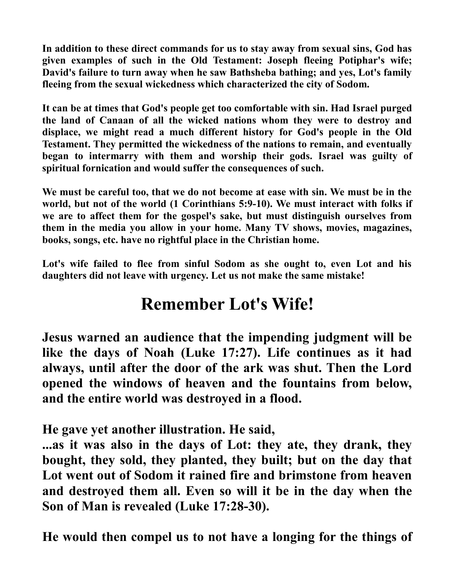**In addition to these direct commands for us to stay away from sexual sins, God has given examples of such in the Old Testament: Joseph fleeing Potiphar's wife; David's failure to turn away when he saw Bathsheba bathing; and yes, Lot's family fleeing from the sexual wickedness which characterized the city of Sodom.**

**It can be at times that God's people get too comfortable with sin. Had Israel purged the land of Canaan of all the wicked nations whom they were to destroy and displace, we might read a much different history for God's people in the Old Testament. They permitted the wickedness of the nations to remain, and eventually began to intermarry with them and worship their gods. Israel was guilty of spiritual fornication and would suffer the consequences of such.**

**We must be careful too, that we do not become at ease with sin. We must be in the world, but not of the world (1 Corinthians 5:9-10). We must interact with folks if we are to affect them for the gospel's sake, but must distinguish ourselves from them in the media you allow in your home. Many TV shows, movies, magazines, books, songs, etc. have no rightful place in the Christian home.**

**Lot's wife failed to flee from sinful Sodom as she ought to, even Lot and his daughters did not leave with urgency. Let us not make the same mistake!**

## **Remember Lot's Wife!**

**Jesus warned an audience that the impending judgment will be like the days of Noah (Luke 17:27). Life continues as it had always, until after the door of the ark was shut. Then the Lord opened the windows of heaven and the fountains from below, and the entire world was destroyed in a flood.**

**He gave yet another illustration. He said,**

**...as it was also in the days of Lot: they ate, they drank, they bought, they sold, they planted, they built; but on the day that Lot went out of Sodom it rained fire and brimstone from heaven and destroyed them all. Even so will it be in the day when the Son of Man is revealed (Luke 17:28-30).**

**He would then compel us to not have a longing for the things of**